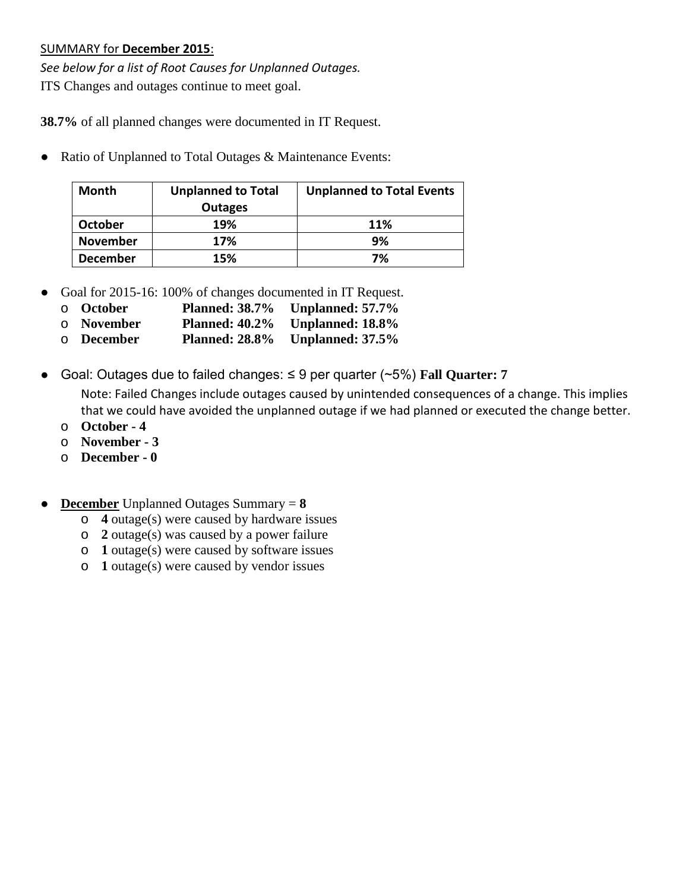## SUMMARY for **December 2015**:

*See below for a list of Root Causes for Unplanned Outages.* ITS Changes and outages continue to meet goal.

**38.7%** of all planned changes were documented in IT Request.

• Ratio of Unplanned to Total Outages & Maintenance Events:

| <b>Month</b>    | <b>Unplanned to Total</b> | <b>Unplanned to Total Events</b> |
|-----------------|---------------------------|----------------------------------|
|                 | <b>Outages</b>            |                                  |
| <b>October</b>  | 19%                       | 11%                              |
| <b>November</b> | 17%                       | 9%                               |
| <b>December</b> | 15%                       | 7%                               |

- Goal for 2015-16: 100% of changes documented in IT Request.
	- o **October Planned: 38.7% Unplanned: 57.7%**
	- o **November Planned: 40.2% Unplanned: 18.8%**
	- o **December Planned: 28.8% Unplanned: 37.5%**
- Goal: Outages due to failed changes: ≤ 9 per quarter (~5%) **Fall Quarter: 7**

Note: Failed Changes include outages caused by unintended consequences of a change. This implies that we could have avoided the unplanned outage if we had planned or executed the change better.

- o **October - 4**
- o **November - 3**
- o **December - 0**
- **December** Unplanned Outages Summary = **8**
	- o **4** outage(s) were caused by hardware issues
	- o **2** outage(s) was caused by a power failure
	- o **1** outage(s) were caused by software issues
	- o **1** outage(s) were caused by vendor issues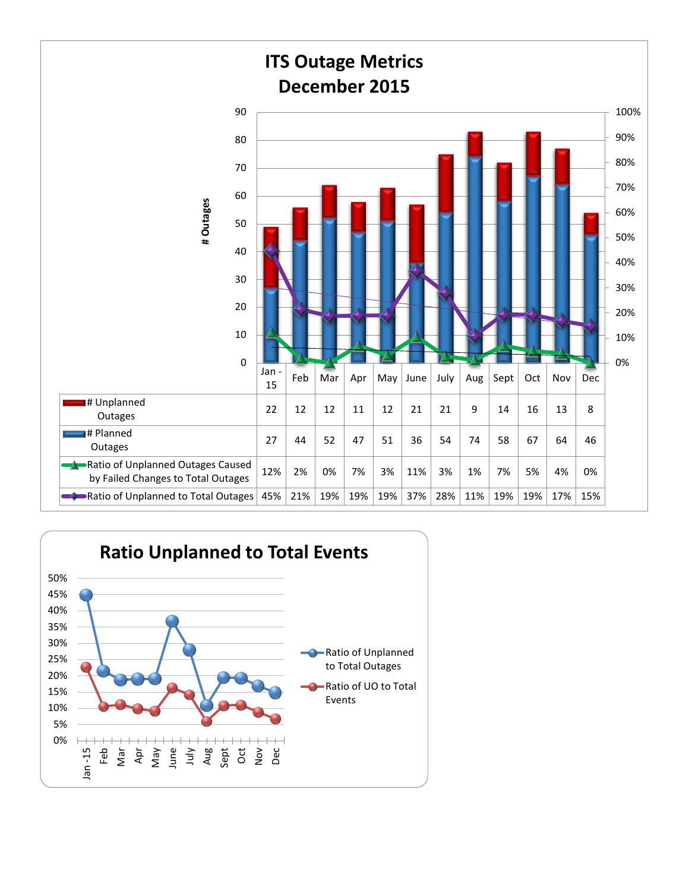